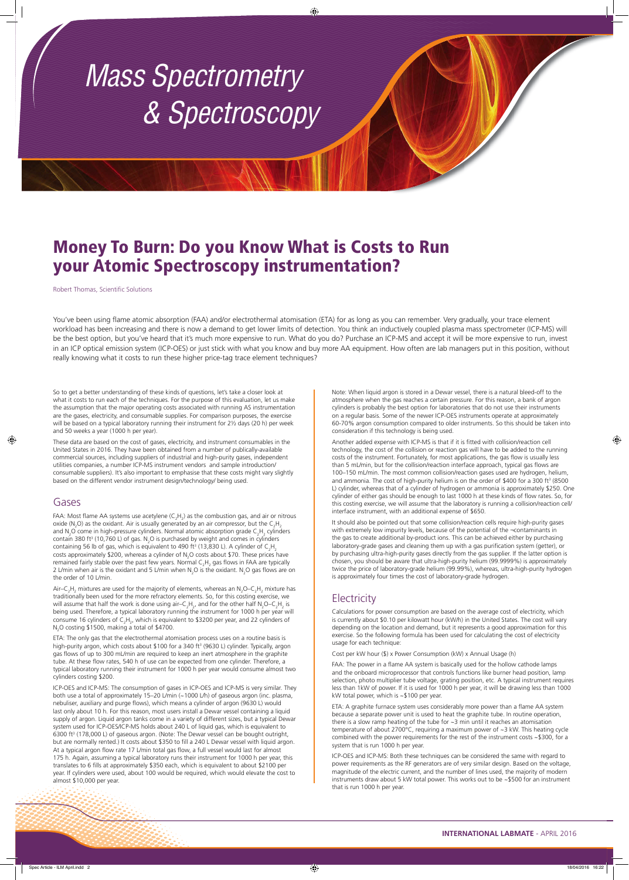#### **INTERNATIONAL LABMATE** - APRIL 2016

# Money To Burn: Do you Know What is Costs to Run your Atomic Spectroscopy instrumentation?

Robert Thomas, Scientific Solutions

So to get a better understanding of these kinds of questions, let's take a closer look at what it costs to run each of the techniques. For the purpose of this evaluation, let us make the assumption that the major operating costs associated with running AS instrumentation are the gases, electricity, and consumable supplies. For comparison purposes, the exercise will be based on a typical laboratory running their instrument for 2½ days (20 h) per week and 50 weeks a year (1000 h per year).

These data are based on the cost of gases, electricity, and instrument consumables in the United States in 2016. They have been obtained from a number of publically-available commercial sources, including suppliers of industrial and high-purity gases, independent utilities companies, a number ICP-MS instrument vendors and sample introduction/ consumable suppliers). It's also important to emphasise that these costs might vary slightly based on the different vendor instrument design/technology/ being used.

FAA: Most flame AA systems use acetylene (C<sub>2</sub>H<sub>2</sub>) as the combustion gas, and air or nitrous oxide (N<sub>2</sub>O) as the oxidant. Air is usually generated by an air compressor, but the C<sub>2</sub>H<sub>2</sub> and N<sub>2</sub>O come in high-pressure cylinders. Normal atomic absorption grade C<sub>2</sub>H<sub>2</sub> cylinders contain 380 ft<sup>3</sup> (10,760 L) of gas. N<sub>2</sub>O is purchased by weight and comes in cylinders containing 56 lb of gas, which is equivalent to 490 ft<sup>3</sup> (13,830 L). A cylinder of  $\mathsf{C_2H_2}$ costs approximately \$200, whereas a cylinder of N<sub>2</sub>O costs about \$70. These prices have remained fairly stable over the past few years. Normal  $\mathsf{C_2H_2}$  gas flows in FAA are typically 2 L/min when air is the oxidant and 5 L/min when N<sub>2</sub>O is the oxidant. N<sub>2</sub>O gas flows are on the order of 10 L/min.

Air–C<sub>2</sub>H<sub>2</sub> mixtures are used for the majority of elements, whereas an N<sub>2</sub>O–C<sub>2</sub>H<sub>2</sub> mixture has traditionally been used for the more refractory elements. So, for this costing exercise, we will assume that half the work is done using air–C<sub>2</sub>H<sub>2</sub>, and for the other half N<sub>2</sub>O–C<sub>2</sub>H<sub>2</sub> is being used. Therefore, a typical laboratory running the instrument for 1000 h per year will consume 16 cylinders of  $C_2H_{2'}$ , which is equivalent to \$3200 per year, and 22 cylinders of  $\rm N_2$ O costing \$1500, making a total of \$4700.

#### Gases

ETA: The only gas that the electrothermal atomisation process uses on a routine basis is high-purity argon, which costs about \$100 for a 340 ft<sup>3</sup> (9630 L) cylinder. Typically, argon gas flows of up to 300 mL/min are required to keep an inert atmosphere in the graphite tube. At these flow rates, 540 h of use can be expected from one cylinder. Therefore, a typical laboratory running their instrument for 1000 h per year would consume almost two cylinders costing \$200.

Another added expense with ICP-MS is that if it is fitted with collision/reaction cell technology, the cost of the collision or reaction gas will have to be added to the running costs of the instrument. Fortunately, for most applications, the gas flow is usually less than 5 mL/min, but for the collision/reaction interface approach, typical gas flows are 100–150 mL/min. The most common collision/reaction gases used are hydrogen, helium, and ammonia. The cost of high-purity helium is on the order of \$400 for a 300 ft<sup>3</sup> (8500 L) cylinder, whereas that of a cylinder of hydrogen or ammonia is approximately \$250. One cylinder of either gas should be enough to last 1000 h at these kinds of flow rates. So, for this costing exercise, we will assume that the laboratory is running a collision/reaction cell/ interface instrument, with an additional expense of \$650.

FAA: The power in a flame AA system is basically used for the hollow cathode lamps and the onboard microprocessor that controls functions like burner head position, lamp selection, photo multiplier tube voltage, grating position, etc. A typical instrument requires

ICP-OES and ICP-MS: The consumption of gases in ICP-OES and ICP-MS is very similar. They both use a total of approximately 15–20 L/min (~1000 L/h) of gaseous argon (inc. plasma, nebuliser, auxiliary and purge flows), which means a cylinder of argon (9630 L) would last only about 10 h. For this reason, most users install a Dewar vessel containing a liquid supply of argon. Liquid argon tanks come in a variety of different sizes, but a typical Dewar system used for ICP-OES/ICP-MS holds about 240 L of liquid gas, which is equivalent to 6300 ft<sup>3</sup> (178,000 L) of gaseous argon. (Note: The Dewar vessel can be bought outright, but are normally rented.) It costs about \$350 to fill a 240 L Dewar vessel with liquid argon. At a typical argon flow rate 17 L/min total gas flow, a full vessel would last for almost 175 h. Again, assuming a typical laboratory runs their instrument for 1000 h per year, this translates to 6 fills at approximately \$350 each, which is equivalent to about \$2100 per year. If cylinders were used, about 100 would be required, which would elevate the cost to almost \$10,000 per year.

ETA: A graphite furnace system uses considerably more power than a flame AA system because a separate power unit is used to heat the graphite tube. In routine operation, there is a slow ramp heating of the tube for ~3 min until it reaches an atomisation temperature of about 2700°C, requiring a maximum power of ~3 kW. This heating cycle combined with the power requirements for the rest of the instrument costs ~\$300, for a system that is run 1000 h per year.

You've been using flame atomic absorption (FAA) and/or electrothermal atomisation (ETA) for as long as you can remember. Very gradually, your trace element workload has been increasing and there is now a demand to get lower limits of detection. You think an inductively coupled plasma mass spectrometer (ICP-MS) will be the best option, but you've heard that it's much more expensive to run. What do you do? Purchase an ICP-MS and accept it will be more expensive to run, invest in an ICP optical emission system (ICP-OES) or just stick with what you know and buy more AA equipment. How often are lab managers put in this position, without really knowing what it costs to run these higher price-tag trace element techniques?

> Note: When liquid argon is stored in a Dewar vessel, there is a natural bleed-off to the atmosphere when the gas reaches a certain pressure. For this reason, a bank of argon cylinders is probably the best option for laboratories that do not use their instruments on a regular basis. Some of the newer ICP-OES instruments operate at approximately 60-70% argon consumption compared to older instruments. So this should be taken into consideration if this technology is being used.

> It should also be pointed out that some collision/reaction cells require high-purity gases with extremely low impurity levels, because of the potential of the ¬contaminants in the gas to create additional by-product ions. This can be achieved either by purchasing laboratory-grade gases and cleaning them up with a gas purification system (getter), or by purchasing ultra-high-purity gases directly from the gas supplier. If the latter option is chosen, you should be aware that ultra-high-purity helium (99.9999%) is approximately twice the price of laboratory-grade helium (99.99%), whereas, ultra-high-purity hydrogen is approximately four times the cost of laboratory-grade hydrogen.

## **Electricity**

Calculations for power consumption are based on the average cost of electricity, which is currently about \$0.10 per kilowatt hour (kW/h) in the United States. The cost will vary depending on the location and demand, but it represents a good approximation for this exercise. So the following formula has been used for calculating the cost of electricity usage for each technique:

Cost per kW hour (\$) x Power Consumption (kW) x Annual Usage (h)

less than 1kW of power. If it is used for 1000 h per year, it will be drawing less than 1000 kW total power, which is ~\$100 per year.

ICP-OES and ICP-MS: Both these techniques can be considered the same with regard to power requirements as the RF generators are of very similar design. Based on the voltage, magnitude of the electric current, and the number of lines used, the majority of modern instruments draw about 5 kW total power. This works out to be ~\$500 for an instrument that is run 1000 h per year.

# *Mass Spectrometry & Spectroscopy*